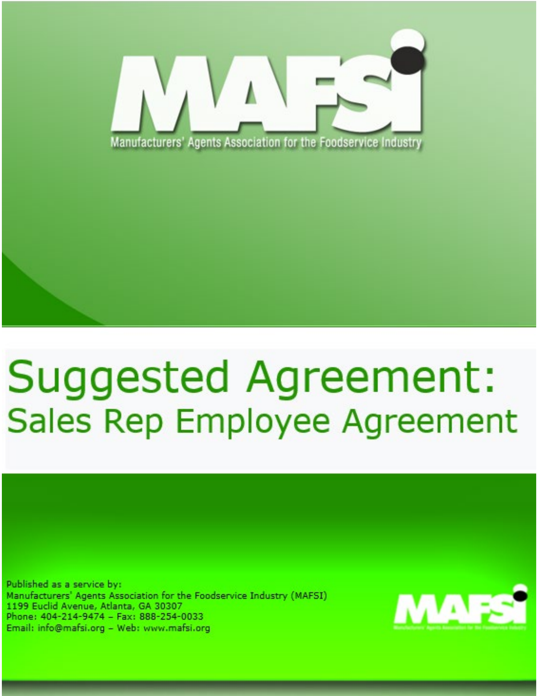

## **Suggested Agreement: Sales Rep Employee Agreement**

Published as a service by: Manufacturers' Agents Association for the Foodservice Industry (MAFSI) 1199 Euclid Avenue, Atlanta, GA 30307 Phone: 404-214-9474 - Fax: 888-254-0033 Email: info@mafsi.org - Web: www.mafsi.org

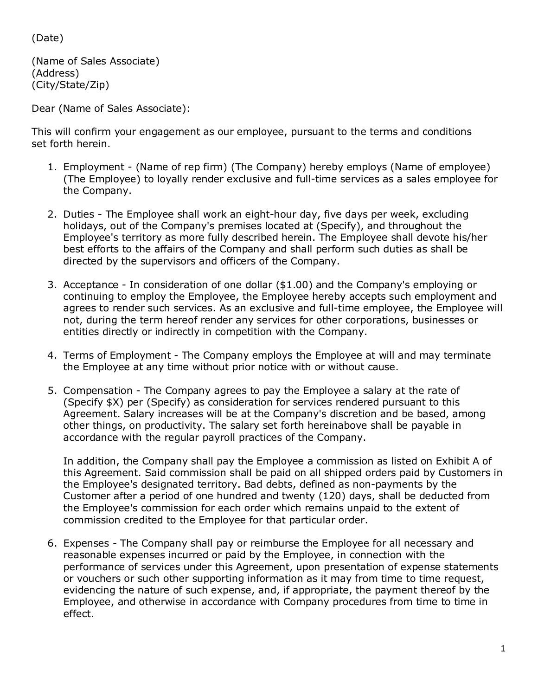(Date)

(Name of Sales Associate) (Address) (City/State/Zip)

Dear (Name of Sales Associate):

This will confirm your engagement as our employee, pursuant to the terms and conditions set forth herein.

- 1. Employment (Name of rep firm) (The Company) hereby employs (Name of employee) (The Employee) to loyally render exclusive and full-time services as a sales employee for the Company.
- 2. Duties The Employee shall work an eight-hour day, five days per week, excluding holidays, out of the Company's premises located at (Specify), and throughout the Employee's territory as more fully described herein. The Employee shall devote his/her best efforts to the affairs of the Company and shall perform such duties as shall be directed by the supervisors and officers of the Company.
- 3. Acceptance In consideration of one dollar (\$1.00) and the Company's employing or continuing to employ the Employee, the Employee hereby accepts such employment and agrees to render such services. As an exclusive and full-time employee, the Employee will not, during the term hereof render any services for other corporations, businesses or entities directly or indirectly in competition with the Company.
- 4. Terms of Employment The Company employs the Employee at will and may terminate the Employee at any time without prior notice with or without cause.
- 5. Compensation The Company agrees to pay the Employee a salary at the rate of (Specify \$X) per (Specify) as consideration for services rendered pursuant to this Agreement. Salary increases will be at the Company's discretion and be based, among other things, on productivity. The salary set forth hereinabove shall be payable in accordance with the regular payroll practices of the Company.

In addition, the Company shall pay the Employee a commission as listed on Exhibit A of this Agreement. Said commission shall be paid on all shipped orders paid by Customers in the Employee's designated territory. Bad debts, defined as non-payments by the Customer after a period of one hundred and twenty (120) days, shall be deducted from the Employee's commission for each order which remains unpaid to the extent of commission credited to the Employee for that particular order.

6. Expenses - The Company shall pay or reimburse the Employee for all necessary and reasonable expenses incurred or paid by the Employee, in connection with the performance of services under this Agreement, upon presentation of expense statements or vouchers or such other supporting information as it may from time to time request, evidencing the nature of such expense, and, if appropriate, the payment thereof by the Employee, and otherwise in accordance with Company procedures from time to time in effect.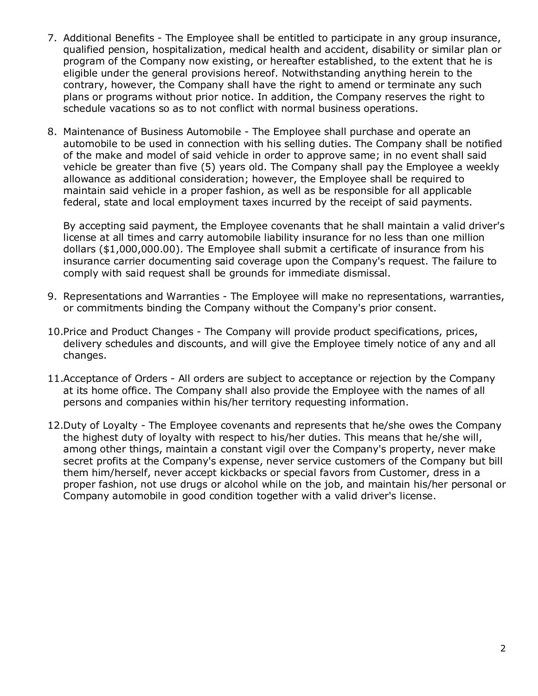- 7. Additional Benefits The Employee shall be entitled to participate in any group insurance, qualified pension, hospitalization, medical health and accident, disability or similar plan or program of the Company now existing, or hereafter established, to the extent that he is eligible under the general provisions hereof. Notwithstanding anything herein to the contrary, however, the Company shall have the right to amend or terminate any such plans or programs without prior notice. In addition, the Company reserves the right to schedule vacations so as to not conflict with normal business operations.
- 8. Maintenance of Business Automobile The Employee shall purchase and operate an automobile to be used in connection with his selling duties. The Company shall be notified of the make and model of said vehicle in order to approve same; in no event shall said vehicle be greater than five (5) years old. The Company shall pay the Employee a weekly allowance as additional consideration; however, the Employee shall be required to maintain said vehicle in a proper fashion, as well as be responsible for all applicable federal, state and local employment taxes incurred by the receipt of said payments.

By accepting said payment, the Employee covenants that he shall maintain a valid driver's license at all times and carry automobile liability insurance for no less than one million dollars (\$1,000,000.00). The Employee shall submit a certificate of insurance from his insurance carrier documenting said coverage upon the Company's request. The failure to comply with said request shall be grounds for immediate dismissal.

- 9. Representations and Warranties The Employee will make no representations, warranties, or commitments binding the Company without the Company's prior consent.
- 10.Price and Product Changes The Company will provide product specifications, prices, delivery schedules and discounts, and will give the Employee timely notice of any and all changes.
- 11.Acceptance of Orders All orders are subject to acceptance or rejection by the Company at its home office. The Company shall also provide the Employee with the names of all persons and companies within his/her territory requesting information.
- 12.Duty of Loyalty The Employee covenants and represents that he/she owes the Company the highest duty of loyalty with respect to his/her duties. This means that he/she will, among other things, maintain a constant vigil over the Company's property, never make secret profits at the Company's expense, never service customers of the Company but bill them him/herself, never accept kickbacks or special favors from Customer, dress in a proper fashion, not use drugs or alcohol while on the job, and maintain his/her personal or Company automobile in good condition together with a valid driver's license.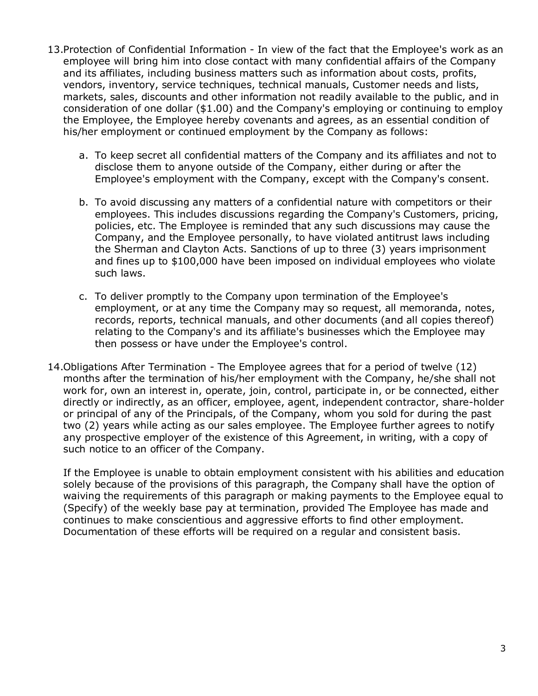- 13.Protection of Confidential Information In view of the fact that the Employee's work as an employee will bring him into close contact with many confidential affairs of the Company and its affiliates, including business matters such as information about costs, profits, vendors, inventory, service techniques, technical manuals, Customer needs and lists, markets, sales, discounts and other information not readily available to the public, and in consideration of one dollar (\$1.00) and the Company's employing or continuing to employ the Employee, the Employee hereby covenants and agrees, as an essential condition of his/her employment or continued employment by the Company as follows:
	- a. To keep secret all confidential matters of the Company and its affiliates and not to disclose them to anyone outside of the Company, either during or after the Employee's employment with the Company, except with the Company's consent.
	- b. To avoid discussing any matters of a confidential nature with competitors or their employees. This includes discussions regarding the Company's Customers, pricing, policies, etc. The Employee is reminded that any such discussions may cause the Company, and the Employee personally, to have violated antitrust laws including the Sherman and Clayton Acts. Sanctions of up to three (3) years imprisonment and fines up to \$100,000 have been imposed on individual employees who violate such laws.
	- c. To deliver promptly to the Company upon termination of the Employee's employment, or at any time the Company may so request, all memoranda, notes, records, reports, technical manuals, and other documents (and all copies thereof) relating to the Company's and its affiliate's businesses which the Employee may then possess or have under the Employee's control.
- 14.Obligations After Termination The Employee agrees that for a period of twelve (12) months after the termination of his/her employment with the Company, he/she shall not work for, own an interest in, operate, join, control, participate in, or be connected, either directly or indirectly, as an officer, employee, agent, independent contractor, share-holder or principal of any of the Principals, of the Company, whom you sold for during the past two (2) years while acting as our sales employee. The Employee further agrees to notify any prospective employer of the existence of this Agreement, in writing, with a copy of such notice to an officer of the Company.

If the Employee is unable to obtain employment consistent with his abilities and education solely because of the provisions of this paragraph, the Company shall have the option of waiving the requirements of this paragraph or making payments to the Employee equal to (Specify) of the weekly base pay at termination, provided The Employee has made and continues to make conscientious and aggressive efforts to find other employment. Documentation of these efforts will be required on a regular and consistent basis.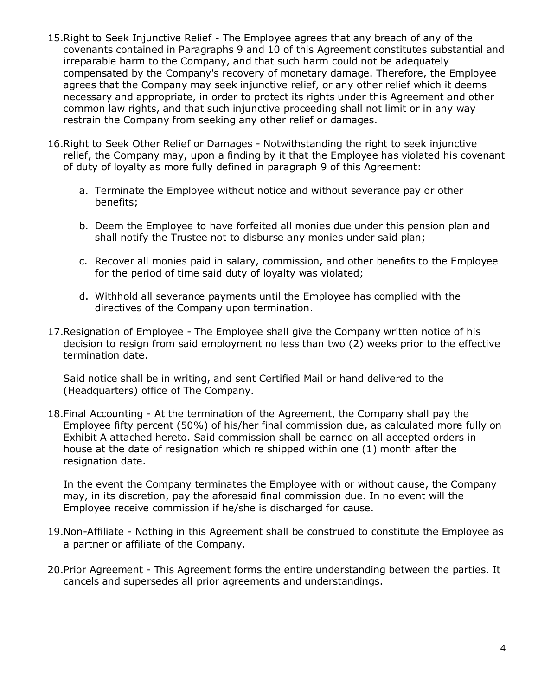- 15.Right to Seek Injunctive Relief The Employee agrees that any breach of any of the covenants contained in Paragraphs 9 and 10 of this Agreement constitutes substantial and irreparable harm to the Company, and that such harm could not be adequately compensated by the Company's recovery of monetary damage. Therefore, the Employee agrees that the Company may seek injunctive relief, or any other relief which it deems necessary and appropriate, in order to protect its rights under this Agreement and other common law rights, and that such injunctive proceeding shall not limit or in any way restrain the Company from seeking any other relief or damages.
- 16.Right to Seek Other Relief or Damages Notwithstanding the right to seek injunctive relief, the Company may, upon a finding by it that the Employee has violated his covenant of duty of loyalty as more fully defined in paragraph 9 of this Agreement:
	- a. Terminate the Employee without notice and without severance pay or other benefits;
	- b. Deem the Employee to have forfeited all monies due under this pension plan and shall notify the Trustee not to disburse any monies under said plan;
	- c. Recover all monies paid in salary, commission, and other benefits to the Employee for the period of time said duty of loyalty was violated;
	- d. Withhold all severance payments until the Employee has complied with the directives of the Company upon termination.
- 17.Resignation of Employee The Employee shall give the Company written notice of his decision to resign from said employment no less than two (2) weeks prior to the effective termination date.

Said notice shall be in writing, and sent Certified Mail or hand delivered to the (Headquarters) office of The Company.

18.Final Accounting - At the termination of the Agreement, the Company shall pay the Employee fifty percent (50%) of his/her final commission due, as calculated more fully on Exhibit A attached hereto. Said commission shall be earned on all accepted orders in house at the date of resignation which re shipped within one (1) month after the resignation date.

In the event the Company terminates the Employee with or without cause, the Company may, in its discretion, pay the aforesaid final commission due. In no event will the Employee receive commission if he/she is discharged for cause.

- 19.Non-Affiliate Nothing in this Agreement shall be construed to constitute the Employee as a partner or affiliate of the Company.
- 20.Prior Agreement This Agreement forms the entire understanding between the parties. It cancels and supersedes all prior agreements and understandings.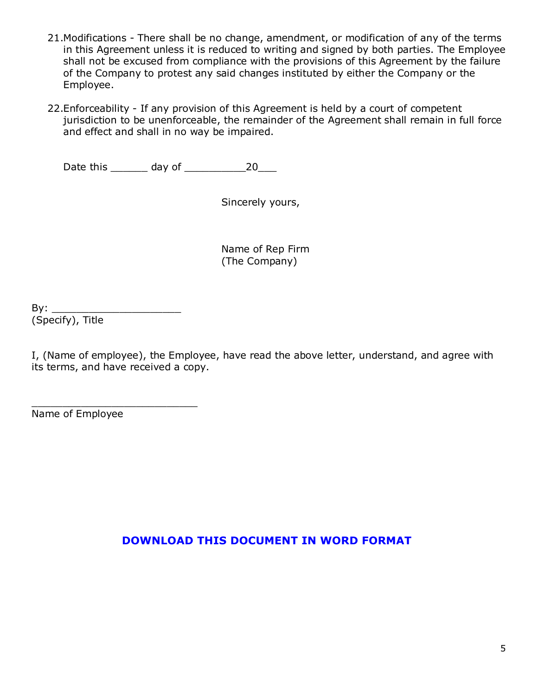- 21.Modifications There shall be no change, amendment, or modification of any of the terms in this Agreement unless it is reduced to writing and signed by both parties. The Employee shall not be excused from compliance with the provisions of this Agreement by the failure of the Company to protest any said changes instituted by either the Company or the Employee.
- 22.Enforceability If any provision of this Agreement is held by a court of competent jurisdiction to be unenforceable, the remainder of the Agreement shall remain in full force and effect and shall in no way be impaired.

Date this \_\_\_\_\_\_ day of \_\_\_\_\_\_\_\_\_\_20\_\_\_

Sincerely yours,

Name of Rep Firm (The Company)

By: \_\_\_\_\_\_\_\_\_\_\_\_\_\_\_\_\_\_\_\_\_ (Specify), Title

I, (Name of employee), the Employee, have read the above letter, understand, and agree with its terms, and have received a copy.

\_\_\_\_\_\_\_\_\_\_\_\_\_\_\_\_\_\_\_\_\_\_\_\_\_\_\_ Name of Employee

## **[DOWNLOAD THIS DOCUMENT IN WORD FORMAT](https://f.hubspotusercontent20.net/hubfs/5637026/Best%20Practices%20Webpage/Best%20Practices%20Documents/Human%20Resources/2021%20Version%20%20-%20Standard%20Suggested%20Sales%20Rep%20Sales%20Employee%20Agreement%20in%20Word.docx)**